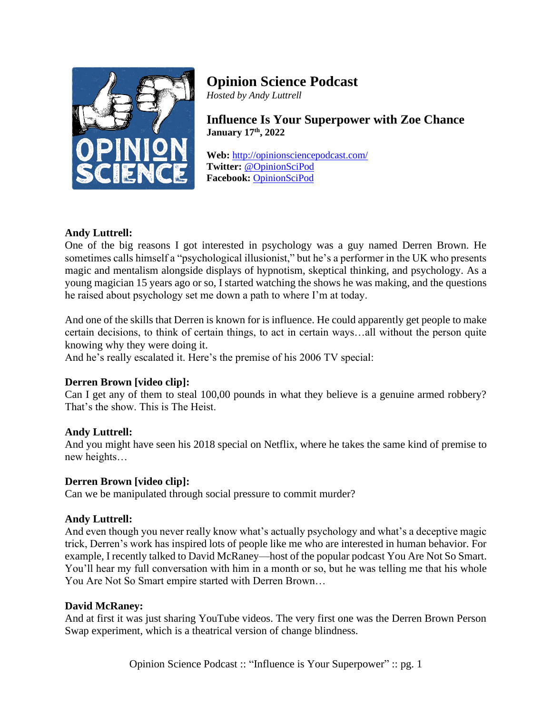

# **Opinion Science Podcast**

*Hosted by Andy Luttrell*

**Influence Is Your Superpower with Zoe Chance January 17th , 2022**

**Web:** <http://opinionsciencepodcast.com/> **Twitter:** [@OpinionSciPod](https://twitter.com/OpinionSciPod) **Facebook:** [OpinionSciPod](https://www.facebook.com/OpinionSciPod/)

# **Andy Luttrell:**

One of the big reasons I got interested in psychology was a guy named Derren Brown. He sometimes calls himself a "psychological illusionist," but he's a performer in the UK who presents magic and mentalism alongside displays of hypnotism, skeptical thinking, and psychology. As a young magician 15 years ago or so, I started watching the shows he was making, and the questions he raised about psychology set me down a path to where I'm at today.

And one of the skills that Derren is known for is influence. He could apparently get people to make certain decisions, to think of certain things, to act in certain ways…all without the person quite knowing why they were doing it.

And he's really escalated it. Here's the premise of his 2006 TV special:

# **Derren Brown [video clip]:**

Can I get any of them to steal 100,00 pounds in what they believe is a genuine armed robbery? That's the show. This is The Heist.

# **Andy Luttrell:**

And you might have seen his 2018 special on Netflix, where he takes the same kind of premise to new heights…

# **Derren Brown [video clip]:**

Can we be manipulated through social pressure to commit murder?

# **Andy Luttrell:**

And even though you never really know what's actually psychology and what's a deceptive magic trick, Derren's work has inspired lots of people like me who are interested in human behavior. For example, I recently talked to David McRaney—host of the popular podcast You Are Not So Smart. You'll hear my full conversation with him in a month or so, but he was telling me that his whole You Are Not So Smart empire started with Derren Brown…

## **David McRaney:**

And at first it was just sharing YouTube videos. The very first one was the Derren Brown Person Swap experiment, which is a theatrical version of change blindness.

Opinion Science Podcast :: "Influence is Your Superpower" :: pg. 1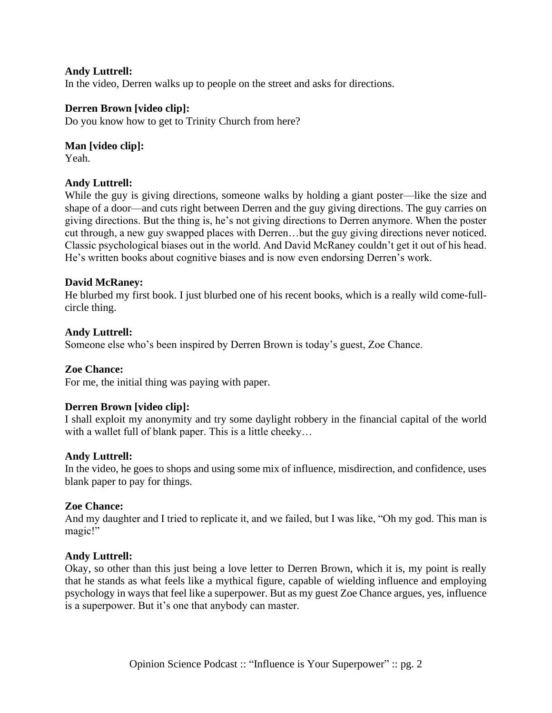## **Andy Luttrell:**

In the video, Derren walks up to people on the street and asks for directions.

## **Derren Brown [video clip]:**

Do you know how to get to Trinity Church from here?

## **Man [video clip]:**

Yeah.

## **Andy Luttrell:**

While the guy is giving directions, someone walks by holding a giant poster—like the size and shape of a door—and cuts right between Derren and the guy giving directions. The guy carries on giving directions. But the thing is, he's not giving directions to Derren anymore. When the poster cut through, a new guy swapped places with Derren…but the guy giving directions never noticed. Classic psychological biases out in the world. And David McRaney couldn't get it out of his head. He's written books about cognitive biases and is now even endorsing Derren's work.

## **David McRaney:**

He blurbed my first book. I just blurbed one of his recent books, which is a really wild come-fullcircle thing.

## **Andy Luttrell:**

Someone else who's been inspired by Derren Brown is today's guest, Zoe Chance.

## **Zoe Chance:**

For me, the initial thing was paying with paper.

## **Derren Brown [video clip]:**

I shall exploit my anonymity and try some daylight robbery in the financial capital of the world with a wallet full of blank paper. This is a little cheeky...

## **Andy Luttrell:**

In the video, he goes to shops and using some mix of influence, misdirection, and confidence, uses blank paper to pay for things.

## **Zoe Chance:**

And my daughter and I tried to replicate it, and we failed, but I was like, "Oh my god. This man is magic!"

## **Andy Luttrell:**

Okay, so other than this just being a love letter to Derren Brown, which it is, my point is really that he stands as what feels like a mythical figure, capable of wielding influence and employing psychology in ways that feel like a superpower. But as my guest Zoe Chance argues, yes, influence is a superpower. But it's one that anybody can master.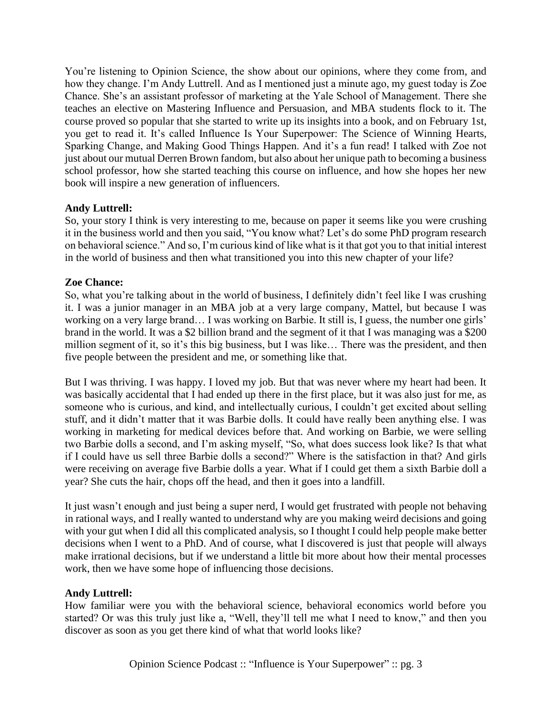You're listening to Opinion Science, the show about our opinions, where they come from, and how they change. I'm Andy Luttrell. And as I mentioned just a minute ago, my guest today is Zoe Chance. She's an assistant professor of marketing at the Yale School of Management. There she teaches an elective on Mastering Influence and Persuasion, and MBA students flock to it. The course proved so popular that she started to write up its insights into a book, and on February 1st, you get to read it. It's called Influence Is Your Superpower: The Science of Winning Hearts, Sparking Change, and Making Good Things Happen. And it's a fun read! I talked with Zoe not just about our mutual Derren Brown fandom, but also about her unique path to becoming a business school professor, how she started teaching this course on influence, and how she hopes her new book will inspire a new generation of influencers.

# **Andy Luttrell:**

So, your story I think is very interesting to me, because on paper it seems like you were crushing it in the business world and then you said, "You know what? Let's do some PhD program research on behavioral science." And so, I'm curious kind of like what is it that got you to that initial interest in the world of business and then what transitioned you into this new chapter of your life?

## **Zoe Chance:**

So, what you're talking about in the world of business, I definitely didn't feel like I was crushing it. I was a junior manager in an MBA job at a very large company, Mattel, but because I was working on a very large brand… I was working on Barbie. It still is, I guess, the number one girls' brand in the world. It was a \$2 billion brand and the segment of it that I was managing was a \$200 million segment of it, so it's this big business, but I was like… There was the president, and then five people between the president and me, or something like that.

But I was thriving. I was happy. I loved my job. But that was never where my heart had been. It was basically accidental that I had ended up there in the first place, but it was also just for me, as someone who is curious, and kind, and intellectually curious, I couldn't get excited about selling stuff, and it didn't matter that it was Barbie dolls. It could have really been anything else. I was working in marketing for medical devices before that. And working on Barbie, we were selling two Barbie dolls a second, and I'm asking myself, "So, what does success look like? Is that what if I could have us sell three Barbie dolls a second?" Where is the satisfaction in that? And girls were receiving on average five Barbie dolls a year. What if I could get them a sixth Barbie doll a year? She cuts the hair, chops off the head, and then it goes into a landfill.

It just wasn't enough and just being a super nerd, I would get frustrated with people not behaving in rational ways, and I really wanted to understand why are you making weird decisions and going with your gut when I did all this complicated analysis, so I thought I could help people make better decisions when I went to a PhD. And of course, what I discovered is just that people will always make irrational decisions, but if we understand a little bit more about how their mental processes work, then we have some hope of influencing those decisions.

## **Andy Luttrell:**

How familiar were you with the behavioral science, behavioral economics world before you started? Or was this truly just like a, "Well, they'll tell me what I need to know," and then you discover as soon as you get there kind of what that world looks like?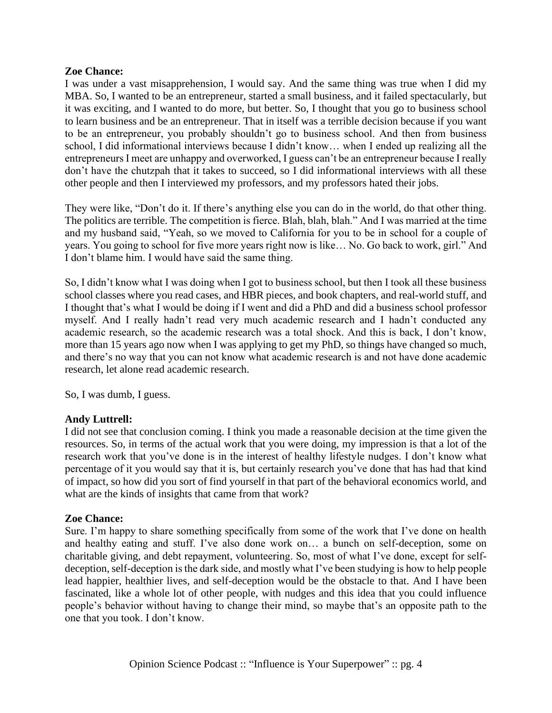## **Zoe Chance:**

I was under a vast misapprehension, I would say. And the same thing was true when I did my MBA. So, I wanted to be an entrepreneur, started a small business, and it failed spectacularly, but it was exciting, and I wanted to do more, but better. So, I thought that you go to business school to learn business and be an entrepreneur. That in itself was a terrible decision because if you want to be an entrepreneur, you probably shouldn't go to business school. And then from business school, I did informational interviews because I didn't know… when I ended up realizing all the entrepreneurs I meet are unhappy and overworked, I guess can't be an entrepreneur because I really don't have the chutzpah that it takes to succeed, so I did informational interviews with all these other people and then I interviewed my professors, and my professors hated their jobs.

They were like, "Don't do it. If there's anything else you can do in the world, do that other thing. The politics are terrible. The competition is fierce. Blah, blah, blah." And I was married at the time and my husband said, "Yeah, so we moved to California for you to be in school for a couple of years. You going to school for five more years right now is like… No. Go back to work, girl." And I don't blame him. I would have said the same thing.

So, I didn't know what I was doing when I got to business school, but then I took all these business school classes where you read cases, and HBR pieces, and book chapters, and real-world stuff, and I thought that's what I would be doing if I went and did a PhD and did a business school professor myself. And I really hadn't read very much academic research and I hadn't conducted any academic research, so the academic research was a total shock. And this is back, I don't know, more than 15 years ago now when I was applying to get my PhD, so things have changed so much, and there's no way that you can not know what academic research is and not have done academic research, let alone read academic research.

So, I was dumb, I guess.

# **Andy Luttrell:**

I did not see that conclusion coming. I think you made a reasonable decision at the time given the resources. So, in terms of the actual work that you were doing, my impression is that a lot of the research work that you've done is in the interest of healthy lifestyle nudges. I don't know what percentage of it you would say that it is, but certainly research you've done that has had that kind of impact, so how did you sort of find yourself in that part of the behavioral economics world, and what are the kinds of insights that came from that work?

## **Zoe Chance:**

Sure. I'm happy to share something specifically from some of the work that I've done on health and healthy eating and stuff. I've also done work on… a bunch on self-deception, some on charitable giving, and debt repayment, volunteering. So, most of what I've done, except for selfdeception, self-deception is the dark side, and mostly what I've been studying is how to help people lead happier, healthier lives, and self-deception would be the obstacle to that. And I have been fascinated, like a whole lot of other people, with nudges and this idea that you could influence people's behavior without having to change their mind, so maybe that's an opposite path to the one that you took. I don't know.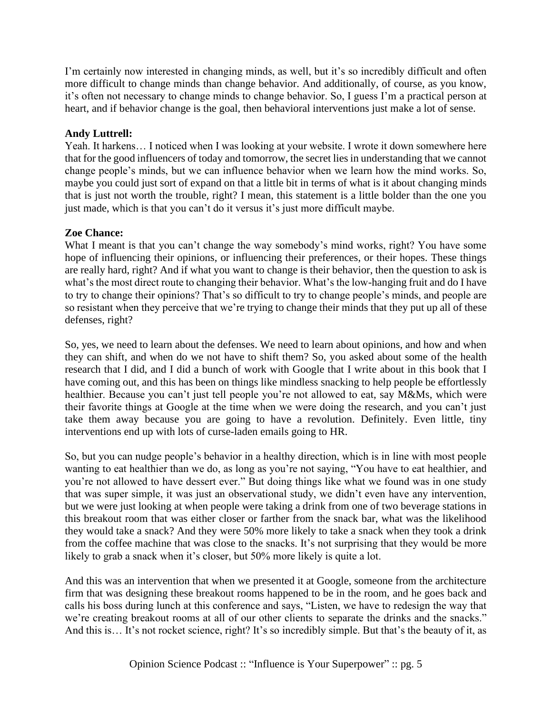I'm certainly now interested in changing minds, as well, but it's so incredibly difficult and often more difficult to change minds than change behavior. And additionally, of course, as you know, it's often not necessary to change minds to change behavior. So, I guess I'm a practical person at heart, and if behavior change is the goal, then behavioral interventions just make a lot of sense.

# **Andy Luttrell:**

Yeah. It harkens… I noticed when I was looking at your website. I wrote it down somewhere here that for the good influencers of today and tomorrow, the secret lies in understanding that we cannot change people's minds, but we can influence behavior when we learn how the mind works. So, maybe you could just sort of expand on that a little bit in terms of what is it about changing minds that is just not worth the trouble, right? I mean, this statement is a little bolder than the one you just made, which is that you can't do it versus it's just more difficult maybe.

# **Zoe Chance:**

What I meant is that you can't change the way somebody's mind works, right? You have some hope of influencing their opinions, or influencing their preferences, or their hopes. These things are really hard, right? And if what you want to change is their behavior, then the question to ask is what's the most direct route to changing their behavior. What's the low-hanging fruit and do I have to try to change their opinions? That's so difficult to try to change people's minds, and people are so resistant when they perceive that we're trying to change their minds that they put up all of these defenses, right?

So, yes, we need to learn about the defenses. We need to learn about opinions, and how and when they can shift, and when do we not have to shift them? So, you asked about some of the health research that I did, and I did a bunch of work with Google that I write about in this book that I have coming out, and this has been on things like mindless snacking to help people be effortlessly healthier. Because you can't just tell people you're not allowed to eat, say M&Ms, which were their favorite things at Google at the time when we were doing the research, and you can't just take them away because you are going to have a revolution. Definitely. Even little, tiny interventions end up with lots of curse-laden emails going to HR.

So, but you can nudge people's behavior in a healthy direction, which is in line with most people wanting to eat healthier than we do, as long as you're not saying, "You have to eat healthier, and you're not allowed to have dessert ever." But doing things like what we found was in one study that was super simple, it was just an observational study, we didn't even have any intervention, but we were just looking at when people were taking a drink from one of two beverage stations in this breakout room that was either closer or farther from the snack bar, what was the likelihood they would take a snack? And they were 50% more likely to take a snack when they took a drink from the coffee machine that was close to the snacks. It's not surprising that they would be more likely to grab a snack when it's closer, but 50% more likely is quite a lot.

And this was an intervention that when we presented it at Google, someone from the architecture firm that was designing these breakout rooms happened to be in the room, and he goes back and calls his boss during lunch at this conference and says, "Listen, we have to redesign the way that we're creating breakout rooms at all of our other clients to separate the drinks and the snacks." And this is… It's not rocket science, right? It's so incredibly simple. But that's the beauty of it, as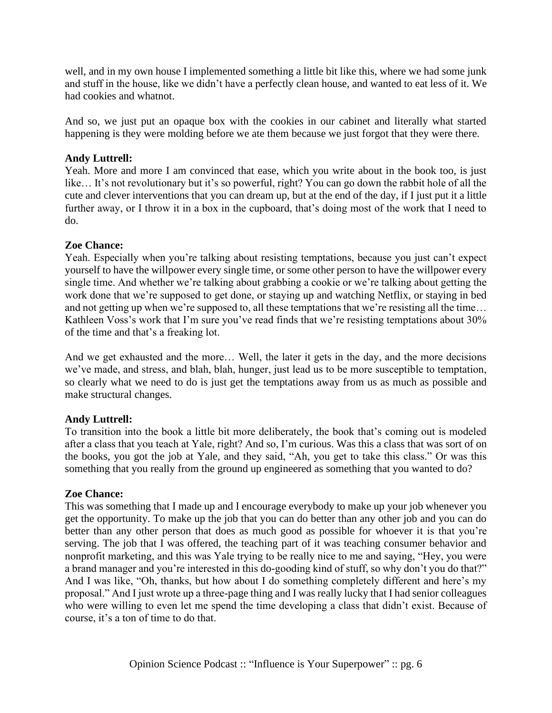well, and in my own house I implemented something a little bit like this, where we had some junk and stuff in the house, like we didn't have a perfectly clean house, and wanted to eat less of it. We had cookies and whatnot.

And so, we just put an opaque box with the cookies in our cabinet and literally what started happening is they were molding before we ate them because we just forgot that they were there.

## **Andy Luttrell:**

Yeah. More and more I am convinced that ease, which you write about in the book too, is just like... It's not revolutionary but it's so powerful, right? You can go down the rabbit hole of all the cute and clever interventions that you can dream up, but at the end of the day, if I just put it a little further away, or I throw it in a box in the cupboard, that's doing most of the work that I need to do.

## **Zoe Chance:**

Yeah. Especially when you're talking about resisting temptations, because you just can't expect yourself to have the willpower every single time, or some other person to have the willpower every single time. And whether we're talking about grabbing a cookie or we're talking about getting the work done that we're supposed to get done, or staying up and watching Netflix, or staying in bed and not getting up when we're supposed to, all these temptations that we're resisting all the time… Kathleen Voss's work that I'm sure you've read finds that we're resisting temptations about 30% of the time and that's a freaking lot.

And we get exhausted and the more… Well, the later it gets in the day, and the more decisions we've made, and stress, and blah, blah, hunger, just lead us to be more susceptible to temptation, so clearly what we need to do is just get the temptations away from us as much as possible and make structural changes.

# **Andy Luttrell:**

To transition into the book a little bit more deliberately, the book that's coming out is modeled after a class that you teach at Yale, right? And so, I'm curious. Was this a class that was sort of on the books, you got the job at Yale, and they said, "Ah, you get to take this class." Or was this something that you really from the ground up engineered as something that you wanted to do?

## **Zoe Chance:**

This was something that I made up and I encourage everybody to make up your job whenever you get the opportunity. To make up the job that you can do better than any other job and you can do better than any other person that does as much good as possible for whoever it is that you're serving. The job that I was offered, the teaching part of it was teaching consumer behavior and nonprofit marketing, and this was Yale trying to be really nice to me and saying, "Hey, you were a brand manager and you're interested in this do-gooding kind of stuff, so why don't you do that?" And I was like, "Oh, thanks, but how about I do something completely different and here's my proposal." And I just wrote up a three-page thing and I was really lucky that I had senior colleagues who were willing to even let me spend the time developing a class that didn't exist. Because of course, it's a ton of time to do that.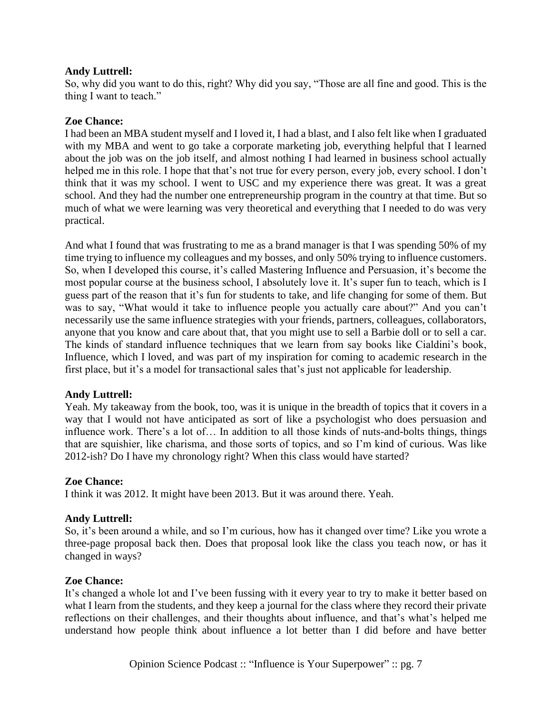## **Andy Luttrell:**

So, why did you want to do this, right? Why did you say, "Those are all fine and good. This is the thing I want to teach."

## **Zoe Chance:**

I had been an MBA student myself and I loved it, I had a blast, and I also felt like when I graduated with my MBA and went to go take a corporate marketing job, everything helpful that I learned about the job was on the job itself, and almost nothing I had learned in business school actually helped me in this role. I hope that that's not true for every person, every job, every school. I don't think that it was my school. I went to USC and my experience there was great. It was a great school. And they had the number one entrepreneurship program in the country at that time. But so much of what we were learning was very theoretical and everything that I needed to do was very practical.

And what I found that was frustrating to me as a brand manager is that I was spending 50% of my time trying to influence my colleagues and my bosses, and only 50% trying to influence customers. So, when I developed this course, it's called Mastering Influence and Persuasion, it's become the most popular course at the business school, I absolutely love it. It's super fun to teach, which is I guess part of the reason that it's fun for students to take, and life changing for some of them. But was to say, "What would it take to influence people you actually care about?" And you can't necessarily use the same influence strategies with your friends, partners, colleagues, collaborators, anyone that you know and care about that, that you might use to sell a Barbie doll or to sell a car. The kinds of standard influence techniques that we learn from say books like Cialdini's book, Influence, which I loved, and was part of my inspiration for coming to academic research in the first place, but it's a model for transactional sales that's just not applicable for leadership.

## **Andy Luttrell:**

Yeah. My takeaway from the book, too, was it is unique in the breadth of topics that it covers in a way that I would not have anticipated as sort of like a psychologist who does persuasion and influence work. There's a lot of… In addition to all those kinds of nuts-and-bolts things, things that are squishier, like charisma, and those sorts of topics, and so I'm kind of curious. Was like 2012-ish? Do I have my chronology right? When this class would have started?

## **Zoe Chance:**

I think it was 2012. It might have been 2013. But it was around there. Yeah.

# **Andy Luttrell:**

So, it's been around a while, and so I'm curious, how has it changed over time? Like you wrote a three-page proposal back then. Does that proposal look like the class you teach now, or has it changed in ways?

## **Zoe Chance:**

It's changed a whole lot and I've been fussing with it every year to try to make it better based on what I learn from the students, and they keep a journal for the class where they record their private reflections on their challenges, and their thoughts about influence, and that's what's helped me understand how people think about influence a lot better than I did before and have better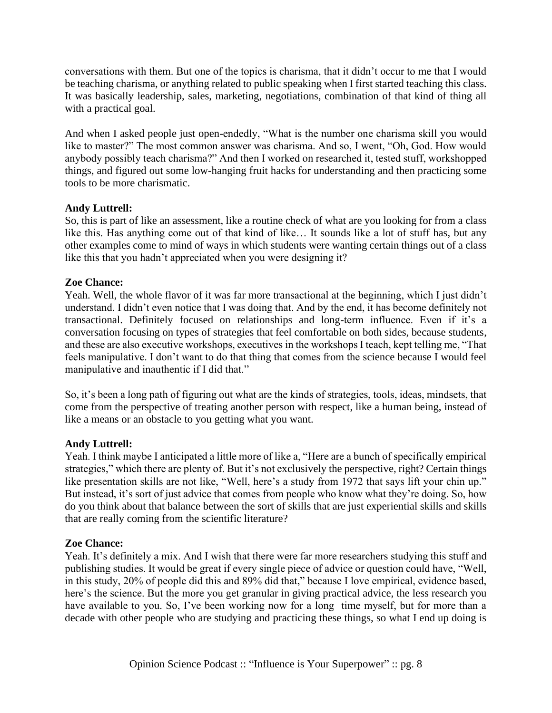conversations with them. But one of the topics is charisma, that it didn't occur to me that I would be teaching charisma, or anything related to public speaking when I first started teaching this class. It was basically leadership, sales, marketing, negotiations, combination of that kind of thing all with a practical goal.

And when I asked people just open-endedly, "What is the number one charisma skill you would like to master?" The most common answer was charisma. And so, I went, "Oh, God. How would anybody possibly teach charisma?" And then I worked on researched it, tested stuff, workshopped things, and figured out some low-hanging fruit hacks for understanding and then practicing some tools to be more charismatic.

# **Andy Luttrell:**

So, this is part of like an assessment, like a routine check of what are you looking for from a class like this. Has anything come out of that kind of like… It sounds like a lot of stuff has, but any other examples come to mind of ways in which students were wanting certain things out of a class like this that you hadn't appreciated when you were designing it?

# **Zoe Chance:**

Yeah. Well, the whole flavor of it was far more transactional at the beginning, which I just didn't understand. I didn't even notice that I was doing that. And by the end, it has become definitely not transactional. Definitely focused on relationships and long-term influence. Even if it's a conversation focusing on types of strategies that feel comfortable on both sides, because students, and these are also executive workshops, executives in the workshops I teach, kept telling me, "That feels manipulative. I don't want to do that thing that comes from the science because I would feel manipulative and inauthentic if I did that."

So, it's been a long path of figuring out what are the kinds of strategies, tools, ideas, mindsets, that come from the perspective of treating another person with respect, like a human being, instead of like a means or an obstacle to you getting what you want.

# **Andy Luttrell:**

Yeah. I think maybe I anticipated a little more of like a, "Here are a bunch of specifically empirical strategies," which there are plenty of. But it's not exclusively the perspective, right? Certain things like presentation skills are not like, "Well, here's a study from 1972 that says lift your chin up." But instead, it's sort of just advice that comes from people who know what they're doing. So, how do you think about that balance between the sort of skills that are just experiential skills and skills that are really coming from the scientific literature?

# **Zoe Chance:**

Yeah. It's definitely a mix. And I wish that there were far more researchers studying this stuff and publishing studies. It would be great if every single piece of advice or question could have, "Well, in this study, 20% of people did this and 89% did that," because I love empirical, evidence based, here's the science. But the more you get granular in giving practical advice, the less research you have available to you. So, I've been working now for a long time myself, but for more than a decade with other people who are studying and practicing these things, so what I end up doing is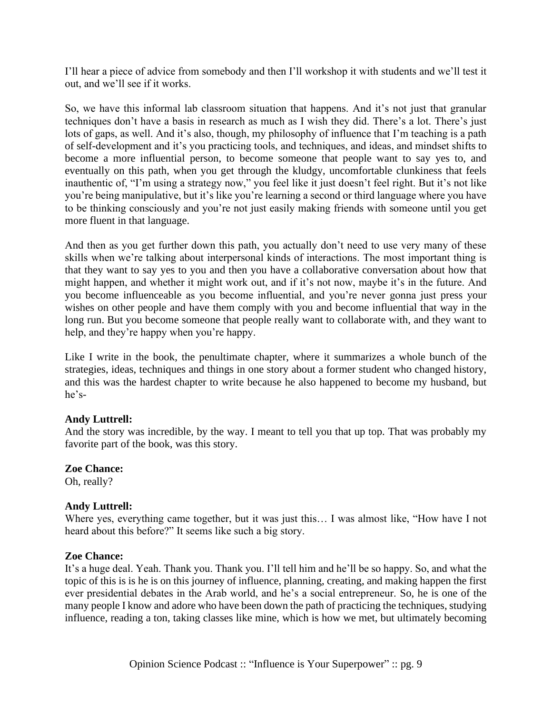I'll hear a piece of advice from somebody and then I'll workshop it with students and we'll test it out, and we'll see if it works.

So, we have this informal lab classroom situation that happens. And it's not just that granular techniques don't have a basis in research as much as I wish they did. There's a lot. There's just lots of gaps, as well. And it's also, though, my philosophy of influence that I'm teaching is a path of self-development and it's you practicing tools, and techniques, and ideas, and mindset shifts to become a more influential person, to become someone that people want to say yes to, and eventually on this path, when you get through the kludgy, uncomfortable clunkiness that feels inauthentic of, "I'm using a strategy now," you feel like it just doesn't feel right. But it's not like you're being manipulative, but it's like you're learning a second or third language where you have to be thinking consciously and you're not just easily making friends with someone until you get more fluent in that language.

And then as you get further down this path, you actually don't need to use very many of these skills when we're talking about interpersonal kinds of interactions. The most important thing is that they want to say yes to you and then you have a collaborative conversation about how that might happen, and whether it might work out, and if it's not now, maybe it's in the future. And you become influenceable as you become influential, and you're never gonna just press your wishes on other people and have them comply with you and become influential that way in the long run. But you become someone that people really want to collaborate with, and they want to help, and they're happy when you're happy.

Like I write in the book, the penultimate chapter, where it summarizes a whole bunch of the strategies, ideas, techniques and things in one story about a former student who changed history, and this was the hardest chapter to write because he also happened to become my husband, but he's-

## **Andy Luttrell:**

And the story was incredible, by the way. I meant to tell you that up top. That was probably my favorite part of the book, was this story.

# **Zoe Chance:**

Oh, really?

# **Andy Luttrell:**

Where yes, everything came together, but it was just this... I was almost like, "How have I not heard about this before?" It seems like such a big story.

## **Zoe Chance:**

It's a huge deal. Yeah. Thank you. Thank you. I'll tell him and he'll be so happy. So, and what the topic of this is is he is on this journey of influence, planning, creating, and making happen the first ever presidential debates in the Arab world, and he's a social entrepreneur. So, he is one of the many people I know and adore who have been down the path of practicing the techniques, studying influence, reading a ton, taking classes like mine, which is how we met, but ultimately becoming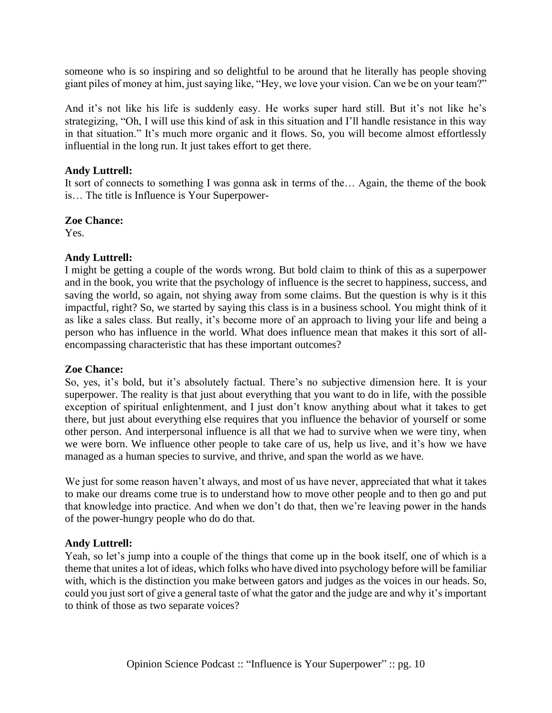someone who is so inspiring and so delightful to be around that he literally has people shoving giant piles of money at him, just saying like, "Hey, we love your vision. Can we be on your team?"

And it's not like his life is suddenly easy. He works super hard still. But it's not like he's strategizing, "Oh, I will use this kind of ask in this situation and I'll handle resistance in this way in that situation." It's much more organic and it flows. So, you will become almost effortlessly influential in the long run. It just takes effort to get there.

## **Andy Luttrell:**

It sort of connects to something I was gonna ask in terms of the… Again, the theme of the book is… The title is Influence is Your Superpower-

## **Zoe Chance:**

Yes.

## **Andy Luttrell:**

I might be getting a couple of the words wrong. But bold claim to think of this as a superpower and in the book, you write that the psychology of influence is the secret to happiness, success, and saving the world, so again, not shying away from some claims. But the question is why is it this impactful, right? So, we started by saying this class is in a business school. You might think of it as like a sales class. But really, it's become more of an approach to living your life and being a person who has influence in the world. What does influence mean that makes it this sort of allencompassing characteristic that has these important outcomes?

## **Zoe Chance:**

So, yes, it's bold, but it's absolutely factual. There's no subjective dimension here. It is your superpower. The reality is that just about everything that you want to do in life, with the possible exception of spiritual enlightenment, and I just don't know anything about what it takes to get there, but just about everything else requires that you influence the behavior of yourself or some other person. And interpersonal influence is all that we had to survive when we were tiny, when we were born. We influence other people to take care of us, help us live, and it's how we have managed as a human species to survive, and thrive, and span the world as we have.

We just for some reason haven't always, and most of us have never, appreciated that what it takes to make our dreams come true is to understand how to move other people and to then go and put that knowledge into practice. And when we don't do that, then we're leaving power in the hands of the power-hungry people who do do that.

## **Andy Luttrell:**

Yeah, so let's jump into a couple of the things that come up in the book itself, one of which is a theme that unites a lot of ideas, which folks who have dived into psychology before will be familiar with, which is the distinction you make between gators and judges as the voices in our heads. So, could you just sort of give a general taste of what the gator and the judge are and why it's important to think of those as two separate voices?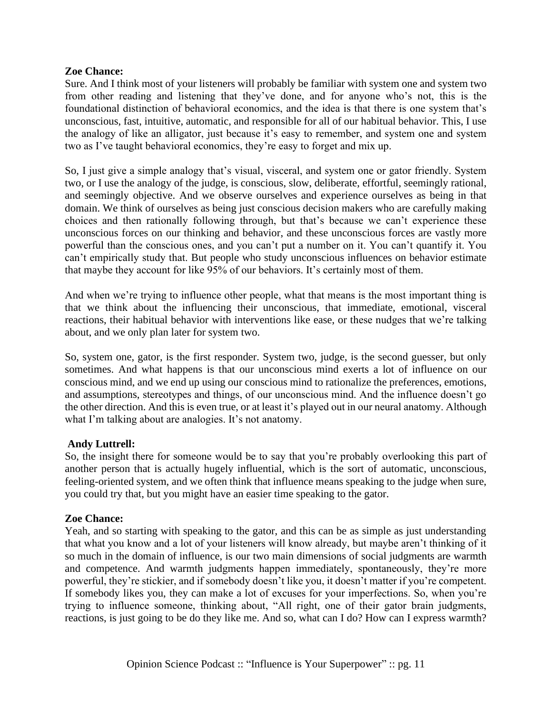## **Zoe Chance:**

Sure. And I think most of your listeners will probably be familiar with system one and system two from other reading and listening that they've done, and for anyone who's not, this is the foundational distinction of behavioral economics, and the idea is that there is one system that's unconscious, fast, intuitive, automatic, and responsible for all of our habitual behavior. This, I use the analogy of like an alligator, just because it's easy to remember, and system one and system two as I've taught behavioral economics, they're easy to forget and mix up.

So, I just give a simple analogy that's visual, visceral, and system one or gator friendly. System two, or I use the analogy of the judge, is conscious, slow, deliberate, effortful, seemingly rational, and seemingly objective. And we observe ourselves and experience ourselves as being in that domain. We think of ourselves as being just conscious decision makers who are carefully making choices and then rationally following through, but that's because we can't experience these unconscious forces on our thinking and behavior, and these unconscious forces are vastly more powerful than the conscious ones, and you can't put a number on it. You can't quantify it. You can't empirically study that. But people who study unconscious influences on behavior estimate that maybe they account for like 95% of our behaviors. It's certainly most of them.

And when we're trying to influence other people, what that means is the most important thing is that we think about the influencing their unconscious, that immediate, emotional, visceral reactions, their habitual behavior with interventions like ease, or these nudges that we're talking about, and we only plan later for system two.

So, system one, gator, is the first responder. System two, judge, is the second guesser, but only sometimes. And what happens is that our unconscious mind exerts a lot of influence on our conscious mind, and we end up using our conscious mind to rationalize the preferences, emotions, and assumptions, stereotypes and things, of our unconscious mind. And the influence doesn't go the other direction. And this is even true, or at least it's played out in our neural anatomy. Although what I'm talking about are analogies. It's not anatomy.

## **Andy Luttrell:**

So, the insight there for someone would be to say that you're probably overlooking this part of another person that is actually hugely influential, which is the sort of automatic, unconscious, feeling-oriented system, and we often think that influence means speaking to the judge when sure, you could try that, but you might have an easier time speaking to the gator.

## **Zoe Chance:**

Yeah, and so starting with speaking to the gator, and this can be as simple as just understanding that what you know and a lot of your listeners will know already, but maybe aren't thinking of it so much in the domain of influence, is our two main dimensions of social judgments are warmth and competence. And warmth judgments happen immediately, spontaneously, they're more powerful, they're stickier, and if somebody doesn't like you, it doesn't matter if you're competent. If somebody likes you, they can make a lot of excuses for your imperfections. So, when you're trying to influence someone, thinking about, "All right, one of their gator brain judgments, reactions, is just going to be do they like me. And so, what can I do? How can I express warmth?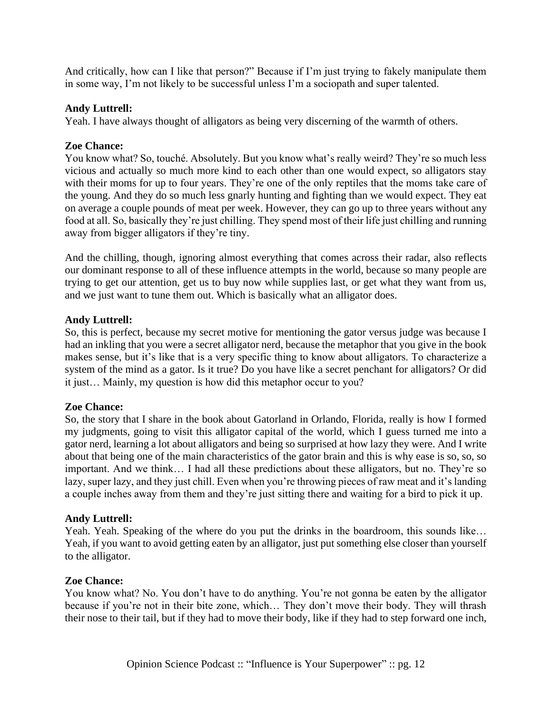And critically, how can I like that person?" Because if I'm just trying to fakely manipulate them in some way, I'm not likely to be successful unless I'm a sociopath and super talented.

## **Andy Luttrell:**

Yeah. I have always thought of alligators as being very discerning of the warmth of others.

## **Zoe Chance:**

You know what? So, touché. Absolutely. But you know what's really weird? They're so much less vicious and actually so much more kind to each other than one would expect, so alligators stay with their moms for up to four years. They're one of the only reptiles that the moms take care of the young. And they do so much less gnarly hunting and fighting than we would expect. They eat on average a couple pounds of meat per week. However, they can go up to three years without any food at all. So, basically they're just chilling. They spend most of their life just chilling and running away from bigger alligators if they're tiny.

And the chilling, though, ignoring almost everything that comes across their radar, also reflects our dominant response to all of these influence attempts in the world, because so many people are trying to get our attention, get us to buy now while supplies last, or get what they want from us, and we just want to tune them out. Which is basically what an alligator does.

## **Andy Luttrell:**

So, this is perfect, because my secret motive for mentioning the gator versus judge was because I had an inkling that you were a secret alligator nerd, because the metaphor that you give in the book makes sense, but it's like that is a very specific thing to know about alligators. To characterize a system of the mind as a gator. Is it true? Do you have like a secret penchant for alligators? Or did it just… Mainly, my question is how did this metaphor occur to you?

## **Zoe Chance:**

So, the story that I share in the book about Gatorland in Orlando, Florida, really is how I formed my judgments, going to visit this alligator capital of the world, which I guess turned me into a gator nerd, learning a lot about alligators and being so surprised at how lazy they were. And I write about that being one of the main characteristics of the gator brain and this is why ease is so, so, so important. And we think… I had all these predictions about these alligators, but no. They're so lazy, super lazy, and they just chill. Even when you're throwing pieces of raw meat and it's landing a couple inches away from them and they're just sitting there and waiting for a bird to pick it up.

# **Andy Luttrell:**

Yeah. Yeah. Speaking of the where do you put the drinks in the boardroom, this sounds like… Yeah, if you want to avoid getting eaten by an alligator, just put something else closer than yourself to the alligator.

## **Zoe Chance:**

You know what? No. You don't have to do anything. You're not gonna be eaten by the alligator because if you're not in their bite zone, which… They don't move their body. They will thrash their nose to their tail, but if they had to move their body, like if they had to step forward one inch,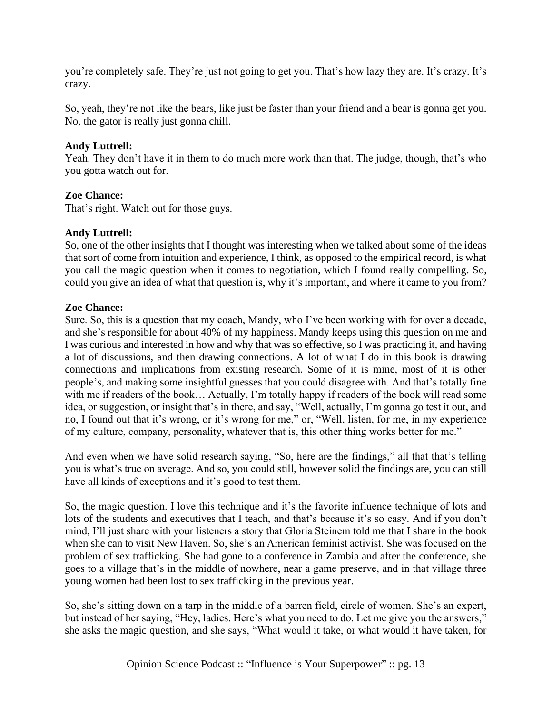you're completely safe. They're just not going to get you. That's how lazy they are. It's crazy. It's crazy.

So, yeah, they're not like the bears, like just be faster than your friend and a bear is gonna get you. No, the gator is really just gonna chill.

## **Andy Luttrell:**

Yeah. They don't have it in them to do much more work than that. The judge, though, that's who you gotta watch out for.

## **Zoe Chance:**

That's right. Watch out for those guys.

## **Andy Luttrell:**

So, one of the other insights that I thought was interesting when we talked about some of the ideas that sort of come from intuition and experience, I think, as opposed to the empirical record, is what you call the magic question when it comes to negotiation, which I found really compelling. So, could you give an idea of what that question is, why it's important, and where it came to you from?

## **Zoe Chance:**

Sure. So, this is a question that my coach, Mandy, who I've been working with for over a decade, and she's responsible for about 40% of my happiness. Mandy keeps using this question on me and I was curious and interested in how and why that was so effective, so I was practicing it, and having a lot of discussions, and then drawing connections. A lot of what I do in this book is drawing connections and implications from existing research. Some of it is mine, most of it is other people's, and making some insightful guesses that you could disagree with. And that's totally fine with me if readers of the book… Actually, I'm totally happy if readers of the book will read some idea, or suggestion, or insight that's in there, and say, "Well, actually, I'm gonna go test it out, and no, I found out that it's wrong, or it's wrong for me," or, "Well, listen, for me, in my experience of my culture, company, personality, whatever that is, this other thing works better for me."

And even when we have solid research saying, "So, here are the findings," all that that's telling you is what's true on average. And so, you could still, however solid the findings are, you can still have all kinds of exceptions and it's good to test them.

So, the magic question. I love this technique and it's the favorite influence technique of lots and lots of the students and executives that I teach, and that's because it's so easy. And if you don't mind, I'll just share with your listeners a story that Gloria Steinem told me that I share in the book when she can to visit New Haven. So, she's an American feminist activist. She was focused on the problem of sex trafficking. She had gone to a conference in Zambia and after the conference, she goes to a village that's in the middle of nowhere, near a game preserve, and in that village three young women had been lost to sex trafficking in the previous year.

So, she's sitting down on a tarp in the middle of a barren field, circle of women. She's an expert, but instead of her saying, "Hey, ladies. Here's what you need to do. Let me give you the answers," she asks the magic question, and she says, "What would it take, or what would it have taken, for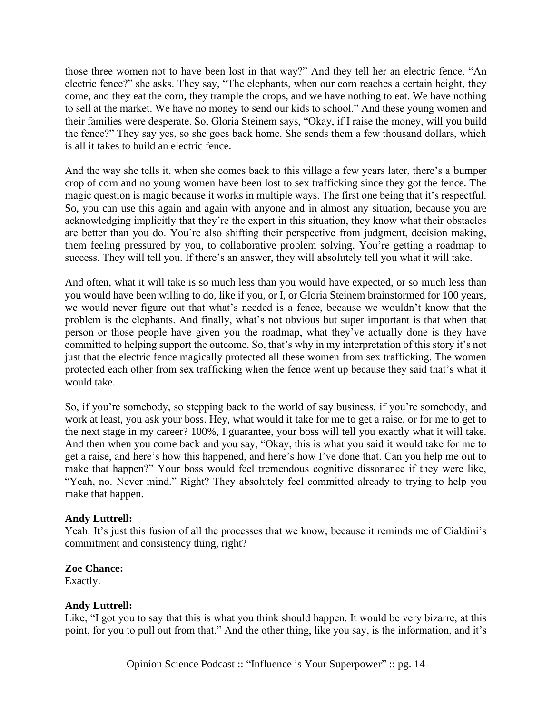those three women not to have been lost in that way?" And they tell her an electric fence. "An electric fence?" she asks. They say, "The elephants, when our corn reaches a certain height, they come, and they eat the corn, they trample the crops, and we have nothing to eat. We have nothing to sell at the market. We have no money to send our kids to school." And these young women and their families were desperate. So, Gloria Steinem says, "Okay, if I raise the money, will you build the fence?" They say yes, so she goes back home. She sends them a few thousand dollars, which is all it takes to build an electric fence.

And the way she tells it, when she comes back to this village a few years later, there's a bumper crop of corn and no young women have been lost to sex trafficking since they got the fence. The magic question is magic because it works in multiple ways. The first one being that it's respectful. So, you can use this again and again with anyone and in almost any situation, because you are acknowledging implicitly that they're the expert in this situation, they know what their obstacles are better than you do. You're also shifting their perspective from judgment, decision making, them feeling pressured by you, to collaborative problem solving. You're getting a roadmap to success. They will tell you. If there's an answer, they will absolutely tell you what it will take.

And often, what it will take is so much less than you would have expected, or so much less than you would have been willing to do, like if you, or I, or Gloria Steinem brainstormed for 100 years, we would never figure out that what's needed is a fence, because we wouldn't know that the problem is the elephants. And finally, what's not obvious but super important is that when that person or those people have given you the roadmap, what they've actually done is they have committed to helping support the outcome. So, that's why in my interpretation of this story it's not just that the electric fence magically protected all these women from sex trafficking. The women protected each other from sex trafficking when the fence went up because they said that's what it would take.

So, if you're somebody, so stepping back to the world of say business, if you're somebody, and work at least, you ask your boss. Hey, what would it take for me to get a raise, or for me to get to the next stage in my career? 100%, I guarantee, your boss will tell you exactly what it will take. And then when you come back and you say, "Okay, this is what you said it would take for me to get a raise, and here's how this happened, and here's how I've done that. Can you help me out to make that happen?" Your boss would feel tremendous cognitive dissonance if they were like, "Yeah, no. Never mind." Right? They absolutely feel committed already to trying to help you make that happen.

## **Andy Luttrell:**

Yeah. It's just this fusion of all the processes that we know, because it reminds me of Cialdini's commitment and consistency thing, right?

## **Zoe Chance:**

Exactly.

## **Andy Luttrell:**

Like, "I got you to say that this is what you think should happen. It would be very bizarre, at this point, for you to pull out from that." And the other thing, like you say, is the information, and it's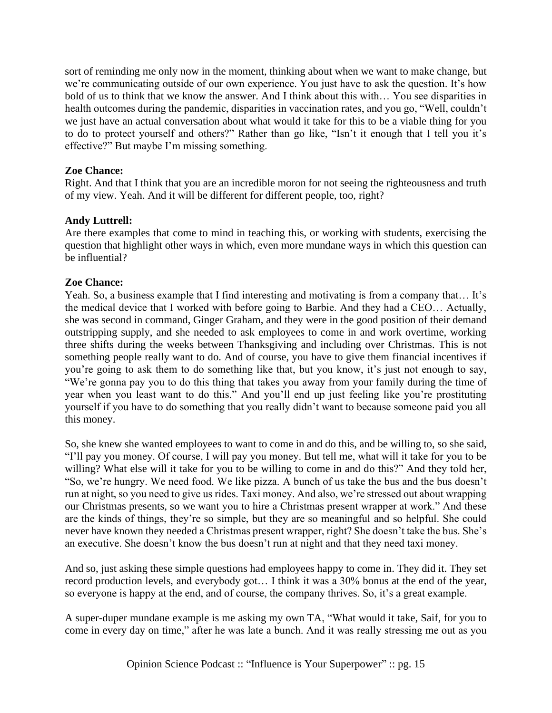sort of reminding me only now in the moment, thinking about when we want to make change, but we're communicating outside of our own experience. You just have to ask the question. It's how bold of us to think that we know the answer. And I think about this with… You see disparities in health outcomes during the pandemic, disparities in vaccination rates, and you go, "Well, couldn't we just have an actual conversation about what would it take for this to be a viable thing for you to do to protect yourself and others?" Rather than go like, "Isn't it enough that I tell you it's effective?" But maybe I'm missing something.

## **Zoe Chance:**

Right. And that I think that you are an incredible moron for not seeing the righteousness and truth of my view. Yeah. And it will be different for different people, too, right?

## **Andy Luttrell:**

Are there examples that come to mind in teaching this, or working with students, exercising the question that highlight other ways in which, even more mundane ways in which this question can be influential?

## **Zoe Chance:**

Yeah. So, a business example that I find interesting and motivating is from a company that… It's the medical device that I worked with before going to Barbie. And they had a CEO… Actually, she was second in command, Ginger Graham, and they were in the good position of their demand outstripping supply, and she needed to ask employees to come in and work overtime, working three shifts during the weeks between Thanksgiving and including over Christmas. This is not something people really want to do. And of course, you have to give them financial incentives if you're going to ask them to do something like that, but you know, it's just not enough to say, "We're gonna pay you to do this thing that takes you away from your family during the time of year when you least want to do this." And you'll end up just feeling like you're prostituting yourself if you have to do something that you really didn't want to because someone paid you all this money.

So, she knew she wanted employees to want to come in and do this, and be willing to, so she said, "I'll pay you money. Of course, I will pay you money. But tell me, what will it take for you to be willing? What else will it take for you to be willing to come in and do this?" And they told her, "So, we're hungry. We need food. We like pizza. A bunch of us take the bus and the bus doesn't run at night, so you need to give us rides. Taxi money. And also, we're stressed out about wrapping our Christmas presents, so we want you to hire a Christmas present wrapper at work." And these are the kinds of things, they're so simple, but they are so meaningful and so helpful. She could never have known they needed a Christmas present wrapper, right? She doesn't take the bus. She's an executive. She doesn't know the bus doesn't run at night and that they need taxi money.

And so, just asking these simple questions had employees happy to come in. They did it. They set record production levels, and everybody got… I think it was a 30% bonus at the end of the year, so everyone is happy at the end, and of course, the company thrives. So, it's a great example.

A super-duper mundane example is me asking my own TA, "What would it take, Saif, for you to come in every day on time," after he was late a bunch. And it was really stressing me out as you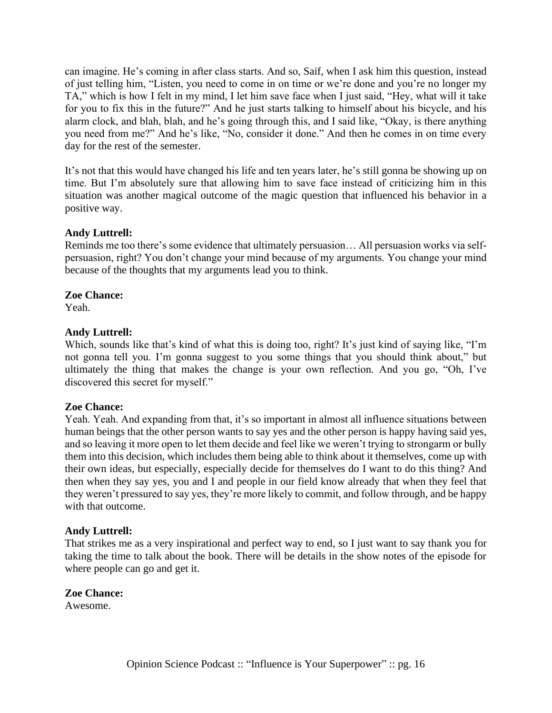can imagine. He's coming in after class starts. And so, Saif, when I ask him this question, instead of just telling him, "Listen, you need to come in on time or we're done and you're no longer my TA," which is how I felt in my mind, I let him save face when I just said, "Hey, what will it take for you to fix this in the future?" And he just starts talking to himself about his bicycle, and his alarm clock, and blah, blah, and he's going through this, and I said like, "Okay, is there anything you need from me?" And he's like, "No, consider it done." And then he comes in on time every day for the rest of the semester.

It's not that this would have changed his life and ten years later, he's still gonna be showing up on time. But I'm absolutely sure that allowing him to save face instead of criticizing him in this situation was another magical outcome of the magic question that influenced his behavior in a positive way.

## **Andy Luttrell:**

Reminds me too there's some evidence that ultimately persuasion… All persuasion works via selfpersuasion, right? You don't change your mind because of my arguments. You change your mind because of the thoughts that my arguments lead you to think.

## **Zoe Chance:**

Yeah.

## **Andy Luttrell:**

Which, sounds like that's kind of what this is doing too, right? It's just kind of saying like, "I'm not gonna tell you. I'm gonna suggest to you some things that you should think about," but ultimately the thing that makes the change is your own reflection. And you go, "Oh, I've discovered this secret for myself."

## **Zoe Chance:**

Yeah. Yeah. And expanding from that, it's so important in almost all influence situations between human beings that the other person wants to say yes and the other person is happy having said yes, and so leaving it more open to let them decide and feel like we weren't trying to strongarm or bully them into this decision, which includes them being able to think about it themselves, come up with their own ideas, but especially, especially decide for themselves do I want to do this thing? And then when they say yes, you and I and people in our field know already that when they feel that they weren't pressured to say yes, they're more likely to commit, and follow through, and be happy with that outcome.

## **Andy Luttrell:**

That strikes me as a very inspirational and perfect way to end, so I just want to say thank you for taking the time to talk about the book. There will be details in the show notes of the episode for where people can go and get it.

**Zoe Chance:**

Awesome.